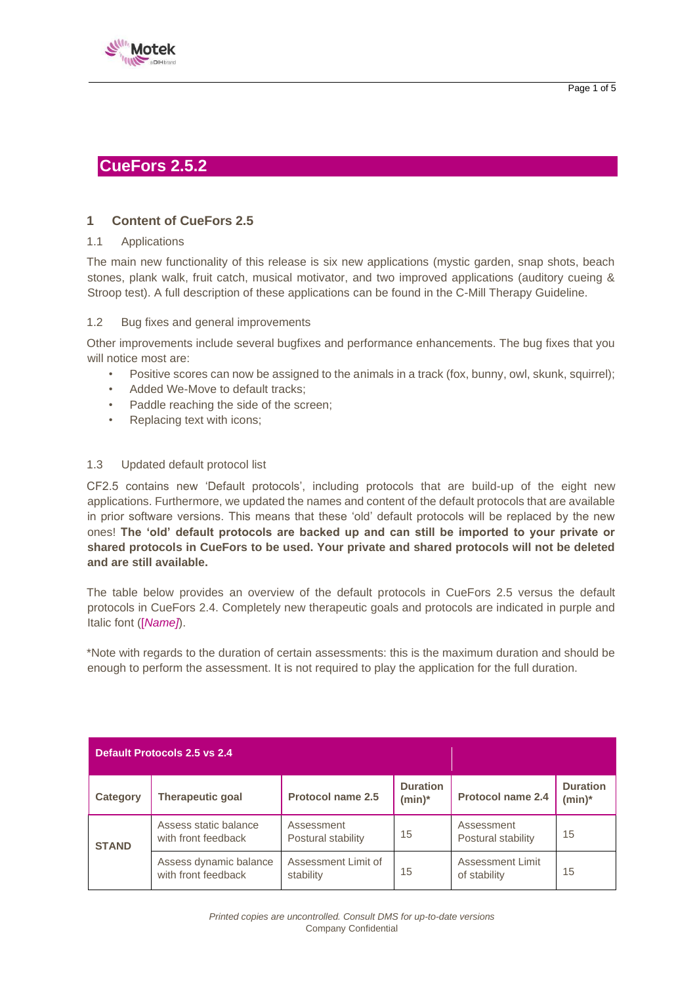



# **CueFors 2.5.2**

# **1 Content of CueFors 2.5**

#### 1.1 Applications

The main new functionality of this release is six new applications (mystic garden, snap shots, beach stones, plank walk, fruit catch, musical motivator, and two improved applications (auditory cueing & Stroop test). A full description of these applications can be found in the C-Mill Therapy Guideline.

### 1.2 Bug fixes and general improvements

Other improvements include several bugfixes and performance enhancements. The bug fixes that you will notice most are:

- Positive scores can now be assigned to the animals in a track (fox, bunny, owl, skunk, squirrel);
- Added We-Move to default tracks;
- Paddle reaching the side of the screen;
- Replacing text with icons;

#### 1.3 Updated default protocol list

CF2.5 contains new 'Default protocols', including protocols that are build-up of the eight new applications. Furthermore, we updated the names and content of the default protocols that are available in prior software versions. This means that these 'old' default protocols will be replaced by the new ones! **The 'old' default protocols are backed up and can still be imported to your private or shared protocols in CueFors to be used. Your private and shared protocols will not be deleted and are still available.** 

The table below provides an overview of the default protocols in CueFors 2.5 versus the default protocols in CueFors 2.4. Completely new therapeutic goals and protocols are indicated in purple and Italic font ([*Name]*).

\*Note with regards to the duration of certain assessments: this is the maximum duration and should be enough to perform the assessment. It is not required to play the application for the full duration.

| Default Protocols 2.5 vs 2.4 |                                               |                                  |                              |                                  |                              |  |
|------------------------------|-----------------------------------------------|----------------------------------|------------------------------|----------------------------------|------------------------------|--|
| Category                     | <b>Therapeutic goal</b>                       | Protocol name 2.5                | <b>Duration</b><br>$(min)^*$ | <b>Protocol name 2.4</b>         | <b>Duration</b><br>$(min)^*$ |  |
| <b>STAND</b>                 | Assess static balance<br>with front feedback  | Assessment<br>Postural stability | 15                           | Assessment<br>Postural stability | 15                           |  |
|                              | Assess dynamic balance<br>with front feedback | Assessment Limit of<br>stability | 15                           | Assessment Limit<br>of stability | 15                           |  |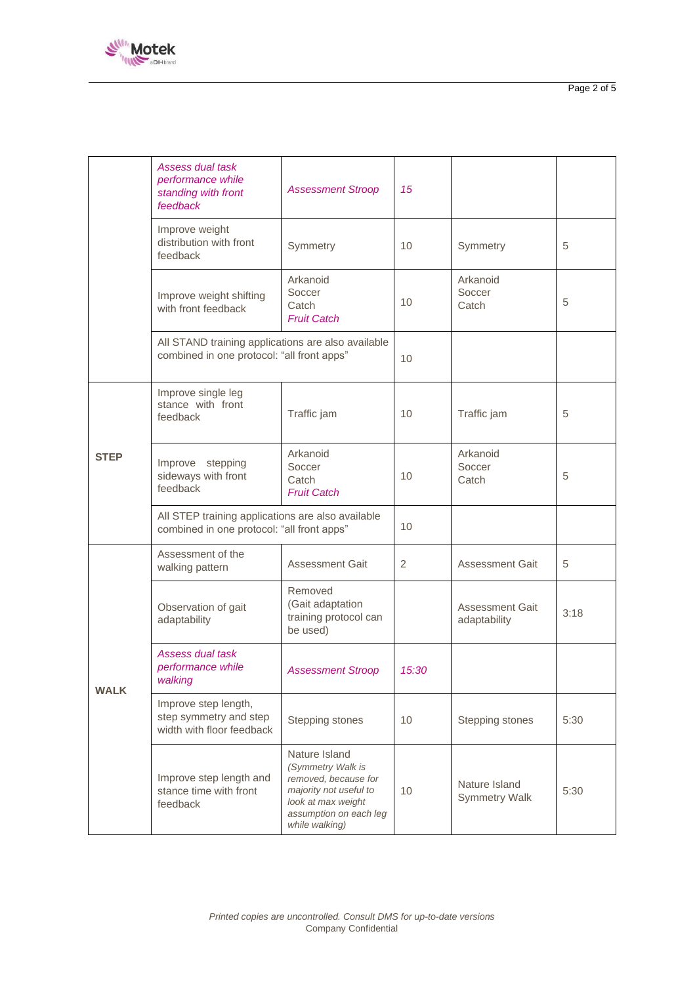

|             | Assess dual task<br>performance while<br>standing with front<br>feedback                         | <b>Assessment Stroop</b>                                                                                                                               | 15             |                                        |      |
|-------------|--------------------------------------------------------------------------------------------------|--------------------------------------------------------------------------------------------------------------------------------------------------------|----------------|----------------------------------------|------|
|             | Improve weight<br>distribution with front<br>feedback                                            | Symmetry                                                                                                                                               | 10             | Symmetry                               | 5    |
|             | Improve weight shifting<br>with front feedback                                                   | Arkanoid<br>Soccer<br>Catch<br><b>Fruit Catch</b>                                                                                                      | 10             | Arkanoid<br>Soccer<br>Catch            | 5    |
|             | All STAND training applications are also available<br>combined in one protocol: "all front apps" |                                                                                                                                                        | 10             |                                        |      |
| <b>STEP</b> | Improve single leg<br>stance with front<br>feedback                                              | Traffic jam                                                                                                                                            | 10             | Traffic jam                            | 5    |
|             | Improve stepping<br>sideways with front<br>feedback                                              | Arkanoid<br>Soccer<br>Catch<br><b>Fruit Catch</b>                                                                                                      | 10             | Arkanoid<br>Soccer<br>Catch            | 5    |
|             | All STEP training applications are also available<br>combined in one protocol: "all front apps"  |                                                                                                                                                        | 10             |                                        |      |
| <b>WALK</b> | Assessment of the<br>walking pattern                                                             | <b>Assessment Gait</b>                                                                                                                                 | $\overline{2}$ | <b>Assessment Gait</b>                 | 5    |
|             | Observation of gait<br>adaptability                                                              | Removed<br>(Gait adaptation<br>training protocol can<br>be used)                                                                                       |                | <b>Assessment Gait</b><br>adaptability | 3:18 |
|             | Assess dual task<br>performance while<br>walking                                                 | <b>Assessment Stroop</b>                                                                                                                               | 15:30          |                                        |      |
|             | Improve step length,<br>step symmetry and step<br>width with floor feedback                      | Stepping stones                                                                                                                                        | 10             | Stepping stones                        | 5:30 |
|             | Improve step length and<br>stance time with front<br>feedback                                    | Nature Island<br>(Symmetry Walk is<br>removed, because for<br>majority not useful to<br>look at max weight<br>assumption on each leg<br>while walking) | 10             | Nature Island<br><b>Symmetry Walk</b>  | 5:30 |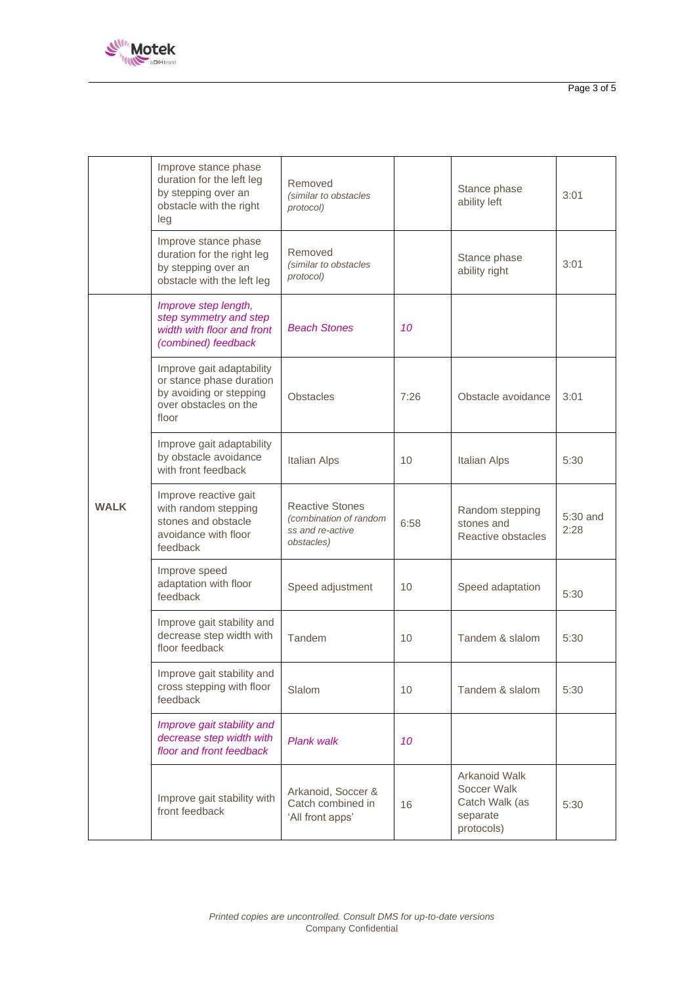

|             | Improve stance phase<br>duration for the left leg<br>by stepping over an<br>obstacle with the right<br>leg         | Removed<br>(similar to obstacles<br>protocol)                                      |      | Stance phase<br>ability left                                             | 3:01             |
|-------------|--------------------------------------------------------------------------------------------------------------------|------------------------------------------------------------------------------------|------|--------------------------------------------------------------------------|------------------|
|             | Improve stance phase<br>duration for the right leg<br>by stepping over an<br>obstacle with the left leg            | Removed<br>(similar to obstacles<br>protocol)                                      |      | Stance phase<br>ability right                                            | 3:01             |
| <b>WALK</b> | Improve step length,<br>step symmetry and step<br>width with floor and front<br>(combined) feedback                | <b>Beach Stones</b>                                                                | 10   |                                                                          |                  |
|             | Improve gait adaptability<br>or stance phase duration<br>by avoiding or stepping<br>over obstacles on the<br>floor | <b>Obstacles</b>                                                                   | 7:26 | Obstacle avoidance                                                       | 3:01             |
|             | Improve gait adaptability<br>by obstacle avoidance<br>with front feedback                                          | Italian Alps                                                                       | 10   | <b>Italian Alps</b>                                                      | 5:30             |
|             | Improve reactive gait<br>with random stepping<br>stones and obstacle<br>avoidance with floor<br>feedback           | <b>Reactive Stones</b><br>(combination of random<br>ss and re-active<br>obstacles) | 6:58 | Random stepping<br>stones and<br>Reactive obstacles                      | 5:30 and<br>2:28 |
|             | Improve speed<br>adaptation with floor<br>feedback                                                                 | Speed adjustment                                                                   | 10   | Speed adaptation                                                         | 5:30             |
|             | Improve gait stability and<br>decrease step width with<br>floor feedback                                           | Tandem                                                                             | 10   | Tandem & slalom                                                          | 5:30             |
|             | Improve gait stability and<br>cross stepping with floor<br>feedback                                                | Slalom                                                                             | 10   | Tandem & slalom                                                          | 5:30             |
|             | Improve gait stability and<br>decrease step width with<br>floor and front feedback                                 | Plank walk                                                                         | 10   |                                                                          |                  |
|             | Improve gait stability with<br>front feedback                                                                      | Arkanoid, Soccer &<br>Catch combined in<br>'All front apps'                        | 16   | Arkanoid Walk<br>Soccer Walk<br>Catch Walk (as<br>separate<br>protocols) | 5:30             |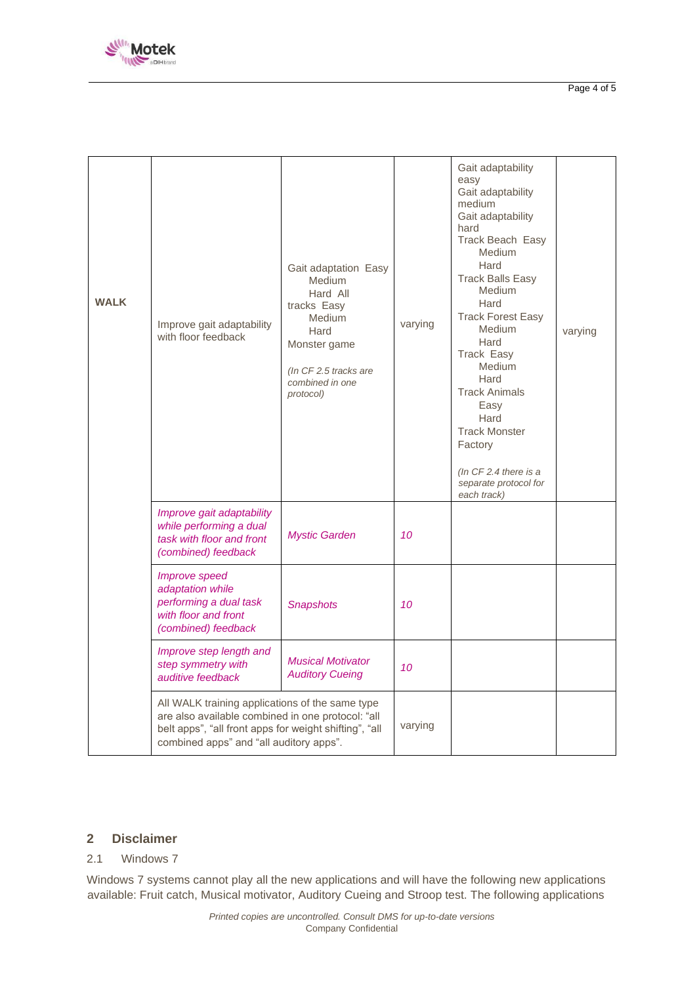

| <b>WALK</b> | Improve gait adaptability<br>with floor feedback                                                                                                                                                          | Gait adaptation Easy<br><b>Medium</b><br>Hard All<br>tracks Easy<br>Medium<br>Hard<br>Monster game<br>(In CF 2.5 tracks are<br>combined in one<br>protocol) | varying | Gait adaptability<br>easy<br>Gait adaptability<br>medium<br>Gait adaptability<br>hard<br><b>Track Beach Easy</b><br><b>Medium</b><br>Hard<br><b>Track Balls Easy</b><br><b>Medium</b><br>Hard<br><b>Track Forest Easy</b><br><b>Medium</b><br>Hard<br><b>Track Easy</b><br><b>Medium</b><br>Hard<br><b>Track Animals</b><br>Easy<br>Hard<br><b>Track Monster</b><br>Factory<br>(In $CF$ 2.4 there is a<br>separate protocol for<br>each track) | varying |
|-------------|-----------------------------------------------------------------------------------------------------------------------------------------------------------------------------------------------------------|-------------------------------------------------------------------------------------------------------------------------------------------------------------|---------|------------------------------------------------------------------------------------------------------------------------------------------------------------------------------------------------------------------------------------------------------------------------------------------------------------------------------------------------------------------------------------------------------------------------------------------------|---------|
|             | Improve gait adaptability<br>while performing a dual<br>task with floor and front<br>(combined) feedback                                                                                                  | <b>Mystic Garden</b>                                                                                                                                        | 10      |                                                                                                                                                                                                                                                                                                                                                                                                                                                |         |
|             | Improve speed<br>adaptation while<br>performing a dual task<br>with floor and front<br>(combined) feedback                                                                                                | <b>Snapshots</b>                                                                                                                                            | 10      |                                                                                                                                                                                                                                                                                                                                                                                                                                                |         |
|             | Improve step length and<br>step symmetry with<br>auditive feedback                                                                                                                                        | <b>Musical Motivator</b><br><b>Auditory Cueing</b>                                                                                                          | 10      |                                                                                                                                                                                                                                                                                                                                                                                                                                                |         |
|             | All WALK training applications of the same type<br>are also available combined in one protocol: "all<br>belt apps", "all front apps for weight shifting", "all<br>combined apps" and "all auditory apps". |                                                                                                                                                             | varying |                                                                                                                                                                                                                                                                                                                                                                                                                                                |         |

### **2 Disclaimer**

# 2.1 Windows 7

Windows 7 systems cannot play all the new applications and will have the following new applications available: Fruit catch, Musical motivator, Auditory Cueing and Stroop test. The following applications